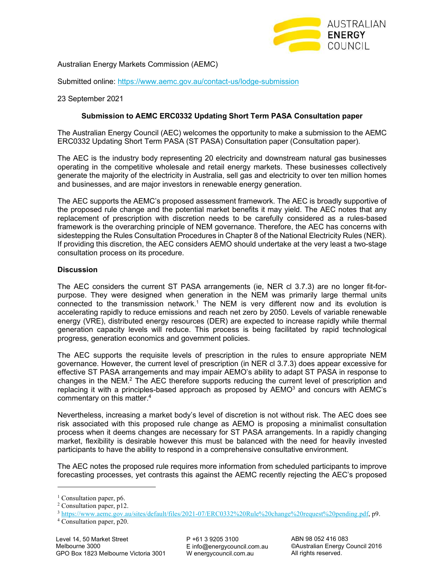

Australian Energy Markets Commission (AEMC)

Submitted online: https://www.aemc.gov.au/contact-us/lodge-submission

23 September 2021

## **Submission to AEMC ERC0332 Updating Short Term PASA Consultation paper**

The Australian Energy Council (AEC) welcomes the opportunity to make a submission to the AEMC ERC0332 Updating Short Term PASA (ST PASA) Consultation paper (Consultation paper).

The AEC is the industry body representing 20 electricity and downstream natural gas businesses operating in the competitive wholesale and retail energy markets. These businesses collectively generate the majority of the electricity in Australia, sell gas and electricity to over ten million homes and businesses, and are major investors in renewable energy generation.

The AEC supports the AEMC's proposed assessment framework. The AEC is broadly supportive of the proposed rule change and the potential market benefits it may yield. The AEC notes that any replacement of prescription with discretion needs to be carefully considered as a rules-based framework is the overarching principle of NEM governance. Therefore, the AEC has concerns with sidestepping the Rules Consultation Procedures in Chapter 8 of the National Electricity Rules (NER). If providing this discretion, the AEC considers AEMO should undertake at the very least a two-stage consultation process on its procedure.

## **Discussion**

The AEC considers the current ST PASA arrangements (ie, NER cl 3.7.3) are no longer fit-forpurpose. They were designed when generation in the NEM was primarily large thermal units connected to the transmission network.<sup>1</sup> The NEM is very different now and its evolution is accelerating rapidly to reduce emissions and reach net zero by 2050. Levels of variable renewable energy (VRE), distributed energy resources (DER) are expected to increase rapidly while thermal generation capacity levels will reduce. This process is being facilitated by rapid technological progress, generation economics and government policies.

The AEC supports the requisite levels of prescription in the rules to ensure appropriate NEM governance. However, the current level of prescription (in NER cl 3.7.3) does appear excessive for effective ST PASA arrangements and may impair AEMO's ability to adapt ST PASA in response to changes in the NEM.<sup>2</sup> The AEC therefore supports reducing the current level of prescription and replacing it with a principles-based approach as proposed by  $AEMO<sup>3</sup>$  and concurs with  $AEMC$ 's commentary on this matter.<sup>4</sup>

Nevertheless, increasing a market body's level of discretion is not without risk. The AEC does see risk associated with this proposed rule change as AEMO is proposing a minimalist consultation process when it deems changes are necessary for ST PASA arrangements. In a rapidly changing market, flexibility is desirable however this must be balanced with the need for heavily invested participants to have the ability to respond in a comprehensive consultative environment.

The AEC notes the proposed rule requires more information from scheduled participants to improve forecasting processes, yet contrasts this against the AEMC recently rejecting the AEC's proposed

4 Consultation paper, p20.

<sup>&</sup>lt;sup>1</sup> Consultation paper, p6.

<sup>&</sup>lt;sup>2</sup> Consultation paper, p12.

<sup>3</sup> https://www.aemc.gov.au/sites/default/files/2021-07/ERC0332%20Rule%20change%20request%20pending.pdf, p9.